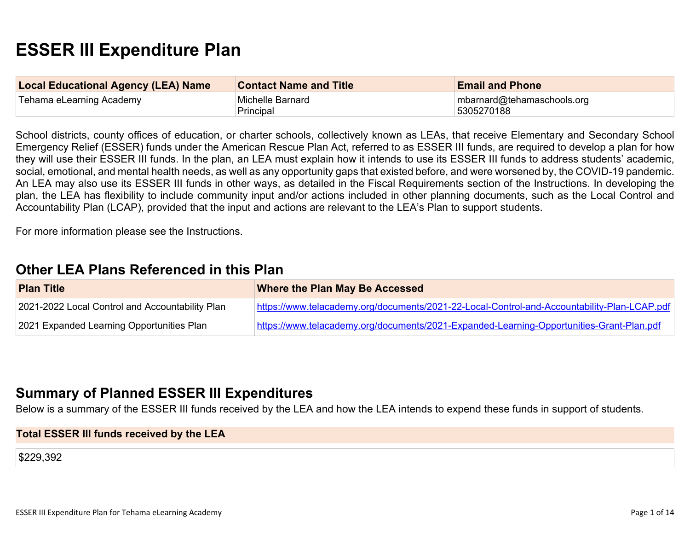# **ESSER III Expenditure Plan**

| <b>Local Educational Agency (LEA) Name</b> | <b>Contact Name and Title</b> | <b>Email and Phone</b>                       |
|--------------------------------------------|-------------------------------|----------------------------------------------|
| Tehama eLearning Academy                   | Michelle Barnard<br>Principal | $ $ mbarnard@tehamaschools.org<br>5305270188 |

School districts, county offices of education, or charter schools, collectively known as LEAs, that receive Elementary and Secondary School Emergency Relief (ESSER) funds under the American Rescue Plan Act, referred to as ESSER III funds, are required to develop a plan for how they will use their ESSER III funds. In the plan, an LEA must explain how it intends to use its ESSER III funds to address students' academic, social, emotional, and mental health needs, as well as any opportunity gaps that existed before, and were worsened by, the COVID-19 pandemic. An LEA may also use its ESSER III funds in other ways, as detailed in the Fiscal Requirements section of the Instructions. In developing the plan, the LEA has flexibility to include community input and/or actions included in other planning documents, such as the Local Control and Accountability Plan (LCAP), provided that the input and actions are relevant to the LEA's Plan to support students.

For more information please see the Instructions.

# **Other LEA Plans [Referenced](#page-8-0) in this Plan**

| <b>Plan Title</b>                               | Where the Plan May Be Accessed                                                              |
|-------------------------------------------------|---------------------------------------------------------------------------------------------|
| 2021-2022 Local Control and Accountability Plan | https://www.telacademy.org/documents/2021-22-Local-Control-and-Accountability-Plan-LCAP.pdf |
| 2021 Expanded Learning Opportunities Plan       | https://www.telacademy.org/documents/2021-Expanded-Learning-Opportunities-Grant-Plan.pdf    |

# **Summary of Planned ESSER III [Expenditures](#page-8-1)**

Below is a summary of the ESSER III funds received by the LEA and how the LEA intends to expend these funds in support of students.

#### **Total ESSER III funds received by the LEA**

\$229,392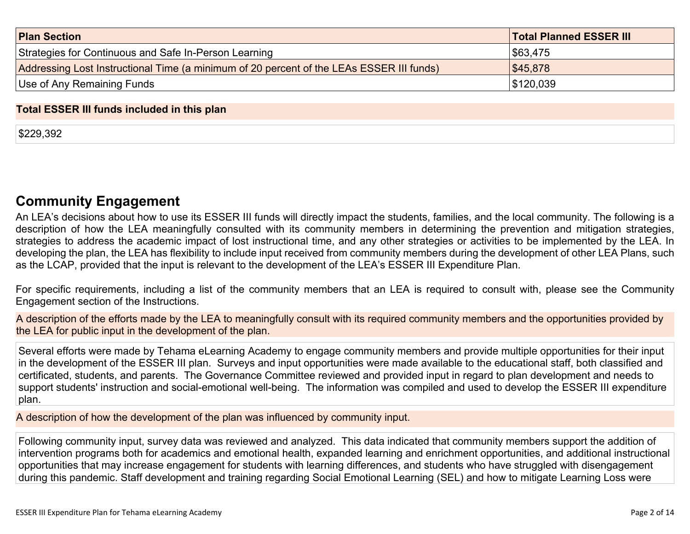| <b>Plan Section</b>                                                                      | <b>Total Planned ESSER III</b> |
|------------------------------------------------------------------------------------------|--------------------------------|
| Strategies for Continuous and Safe In-Person Learning                                    | \$63,475                       |
| Addressing Lost Instructional Time (a minimum of 20 percent of the LEAs ESSER III funds) | \$45,878                       |
| Use of Any Remaining Funds                                                               | \$120,039                      |

#### **Total ESSER III funds included in this plan**

\$229,392

# **Community [Engagement](#page-9-0)**

An LEA's decisions about how to use its ESSER III funds will directly impact the students, families, and the local community. The following is a description of how the LEA meaningfully consulted with its community members in determining the prevention and mitigation strategies, strategies to address the academic impact of lost instructional time, and any other strategies or activities to be implemented by the LEA. In developing the plan, the LEA has flexibility to include input received from community members during the development of other LEA Plans, such as the LCAP, provided that the input is relevant to the development of the LEA's ESSER III Expenditure Plan.

For specific requirements, including a list of the community members that an LEA is required to consult with, please see the Community Engagement section of the Instructions.

A description of the efforts made by the LEA to meaningfully consult with its required community members and the opportunities provided by the LEA for public input in the development of the plan.

Several efforts were made by Tehama eLearning Academy to engage community members and provide multiple opportunities for their input in the development of the ESSER III plan. Surveys and input opportunities were made available to the educational staff, both classified and certificated, students, and parents. The Governance Committee reviewed and provided input in regard to plan development and needs to support students' instruction and social-emotional well-being. The information was compiled and used to develop the ESSER III expenditure plan.

A description of how the development of the plan was influenced by community input.

Following community input, survey data was reviewed and analyzed. This data indicated that community members support the addition of intervention programs both for academics and emotional health, expanded learning and enrichment opportunities, and additional instructional opportunities that may increase engagement for students with learning differences, and students who have struggled with disengagement during this pandemic. Staff development and training regarding Social Emotional Learning (SEL) and how to mitigate Learning Loss were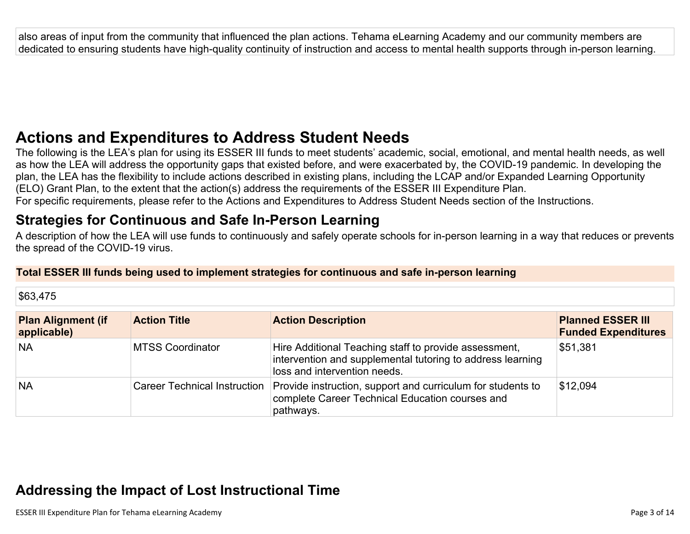also areas of input from the community that influenced the plan actions. Tehama eLearning Academy and our community members are dedicated to ensuring students have high-quality continuity of instruction and access to mental health supports through in-person learning.

# **Actions and [Expenditures](#page-11-0) to Address Student Needs**

The following is the LEA's plan for using its ESSER III funds to meet students' academic, social, emotional, and mental health needs, as well as how the LEA will address the opportunity gaps that existed before, and were exacerbated by, the COVID-19 pandemic. In developing the plan, the LEA has the flexibility to include actions described in existing plans, including the LCAP and/or Expanded Learning Opportunity (ELO) Grant Plan, to the extent that the action(s) address the requirements of the ESSER III Expenditure Plan. For specific requirements, please refer to the Actions and Expenditures to Address Student Needs section of the Instructions.

# **Strategies for [Continuous](#page-11-1) and Safe In-Person Learning**

A description of how the LEA will use funds to continuously and safely operate schools for in-person learning in a way that reduces or prevents the spread of the COVID-19 virus.

| \$63,475                                 |                                     |                                                                                                                                                     |                                                        |
|------------------------------------------|-------------------------------------|-----------------------------------------------------------------------------------------------------------------------------------------------------|--------------------------------------------------------|
| <b>Plan Alignment (if</b><br>applicable) | <b>Action Title</b>                 | <b>Action Description</b>                                                                                                                           | <b>Planned ESSER III</b><br><b>Funded Expenditures</b> |
| <b>NA</b>                                | <b>MTSS Coordinator</b>             | Hire Additional Teaching staff to provide assessment,<br>intervention and supplemental tutoring to address learning<br>loss and intervention needs. | \$51,381                                               |
| <b>NA</b>                                | <b>Career Technical Instruction</b> | Provide instruction, support and curriculum for students to<br>complete Career Technical Education courses and<br>pathways.                         | \$12,094                                               |

### **Total ESSER III funds being used to implement strategies for continuous and safe in-person learning**

# **Addressing the Impact of Lost [Instructional](#page-12-0) Tim[e](#page-12-0)**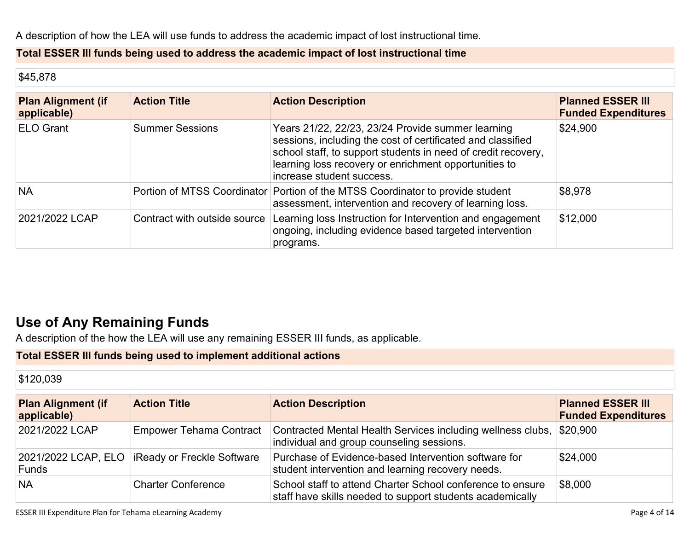A description of how the LEA will use funds to address the academic impact of lost instructional time.

### **Total ESSER III funds being used to address the academic impact of lost instructional time**

\$45,878

| <b>Plan Alignment (if</b><br>applicable) | <b>Action Title</b>          | <b>Action Description</b>                                                                                                                                                                                                                                               | <b>Planned ESSER III</b><br><b>Funded Expenditures</b> |
|------------------------------------------|------------------------------|-------------------------------------------------------------------------------------------------------------------------------------------------------------------------------------------------------------------------------------------------------------------------|--------------------------------------------------------|
| <b>ELO Grant</b>                         | <b>Summer Sessions</b>       | Years 21/22, 22/23, 23/24 Provide summer learning<br>sessions, including the cost of certificated and classified<br>school staff, to support students in need of credit recovery,<br>learning loss recovery or enrichment opportunities to<br>increase student success. | \$24,900                                               |
| <b>NA</b>                                |                              | Portion of MTSS Coordinator Portion of the MTSS Coordinator to provide student<br>assessment, intervention and recovery of learning loss.                                                                                                                               | \$8,978                                                |
| 2021/2022 LCAP                           | Contract with outside source | Learning loss Instruction for Intervention and engagement<br>ongoing, including evidence based targeted intervention<br>programs.                                                                                                                                       | \$12,000                                               |

# **Use of Any [Remaining](#page-12-1) Fund[s](#page-12-1)**

A description of the how the LEA will use any remaining ESSER III funds, as applicable.

## **Total ESSER III funds being used to implement additional actions**

\$120,039

| <b>Plan Alignment (if</b><br>applicable) | <b>Action Title</b>                              | <b>Action Description</b>                                                                                               | <b>Planned ESSER III</b><br><b>Funded Expenditures</b> |
|------------------------------------------|--------------------------------------------------|-------------------------------------------------------------------------------------------------------------------------|--------------------------------------------------------|
| 2021/2022 LCAP                           | <b>Empower Tehama Contract</b>                   | Contracted Mental Health Services including wellness clubs,<br>individual and group counseling sessions.                | \$20,900                                               |
| <b>Funds</b>                             | 2021/2022 LCAP, ELO   iReady or Freckle Software | Purchase of Evidence-based Intervention software for<br>student intervention and learning recovery needs.               | \$24,000                                               |
| <b>NA</b>                                | <b>Charter Conference</b>                        | School staff to attend Charter School conference to ensure<br>staff have skills needed to support students academically | \$8,000                                                |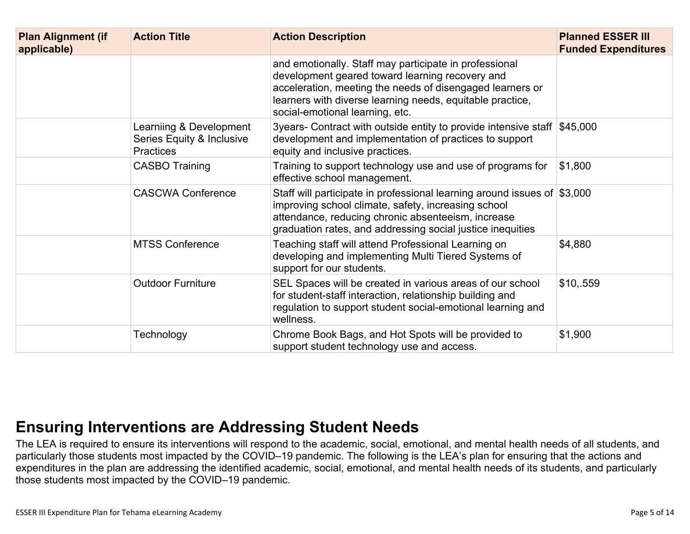| <b>Plan Alignment (if</b><br>applicable) | <b>Action Title</b>                                                      | <b>Action Description</b>                                                                                                                                                                                                                                              | <b>Planned ESSER III</b><br><b>Funded Expenditures</b> |
|------------------------------------------|--------------------------------------------------------------------------|------------------------------------------------------------------------------------------------------------------------------------------------------------------------------------------------------------------------------------------------------------------------|--------------------------------------------------------|
|                                          |                                                                          | and emotionally. Staff may participate in professional<br>development geared toward learning recovery and<br>acceleration, meeting the needs of disengaged learners or<br>learners with diverse learning needs, equitable practice,<br>social-emotional learning, etc. |                                                        |
|                                          | Learniing & Development<br>Series Equity & Inclusive<br><b>Practices</b> | 3years- Contract with outside entity to provide intensive staff<br>development and implementation of practices to support<br>equity and inclusive practices.                                                                                                           | $\$45,000$                                             |
|                                          | <b>CASBO Training</b>                                                    | Training to support technology use and use of programs for<br>effective school management.                                                                                                                                                                             | \$1,800                                                |
|                                          | <b>CASCWA Conference</b>                                                 | Staff will participate in professional learning around issues of \$3,000<br>improving school climate, safety, increasing school<br>attendance, reducing chronic absenteeism, increase<br>graduation rates, and addressing social justice inequities                    |                                                        |
|                                          | <b>MTSS Conference</b>                                                   | Teaching staff will attend Professional Learning on<br>developing and implementing Multi Tiered Systems of<br>support for our students.                                                                                                                                | \$4,880                                                |
|                                          | <b>Outdoor Furniture</b>                                                 | SEL Spaces will be created in various areas of our school<br>for student-staff interaction, relationship building and<br>regulation to support student social-emotional learning and<br>wellness.                                                                      | \$10,559                                               |
|                                          | Technology                                                               | Chrome Book Bags, and Hot Spots will be provided to<br>support student technology use and access.                                                                                                                                                                      | \$1,900                                                |

# **Ensuring [Interventions](#page-12-2) are Addressing Student Need[s](#page-12-2)**

The LEA is required to ensure its interventions will respond to the academic, social, emotional, and mental health needs of all students, and particularly those students most impacted by the COVID–19 pandemic. The following is the LEA's plan for ensuring that the actions and expenditures in the plan are addressing the identified academic, social, emotional, and mental health needs of its students, and particularly those students most impacted by the COVID–19 pandemic.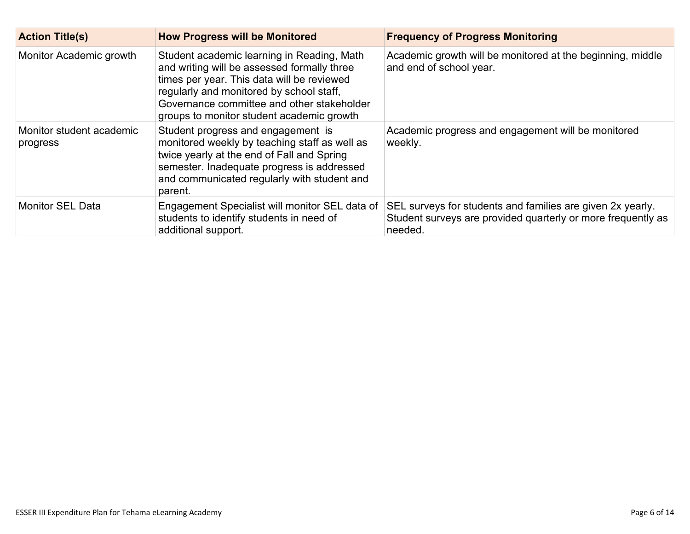| <b>Action Title(s)</b>               | <b>How Progress will be Monitored</b>                                                                                                                                                                                                                                          | <b>Frequency of Progress Monitoring</b>                                                                                               |
|--------------------------------------|--------------------------------------------------------------------------------------------------------------------------------------------------------------------------------------------------------------------------------------------------------------------------------|---------------------------------------------------------------------------------------------------------------------------------------|
| Monitor Academic growth              | Student academic learning in Reading, Math<br>and writing will be assessed formally three<br>times per year. This data will be reviewed<br>regularly and monitored by school staff,<br>Governance committee and other stakeholder<br>groups to monitor student academic growth | Academic growth will be monitored at the beginning, middle<br>and end of school year.                                                 |
| Monitor student academic<br>progress | Student progress and engagement is<br>monitored weekly by teaching staff as well as<br>twice yearly at the end of Fall and Spring<br>semester. Inadequate progress is addressed<br>and communicated regularly with student and<br>parent.                                      | Academic progress and engagement will be monitored<br>weekly.                                                                         |
| <b>Monitor SEL Data</b>              | Engagement Specialist will monitor SEL data of<br>students to identify students in need of<br>additional support.                                                                                                                                                              | SEL surveys for students and families are given 2x yearly.<br>Student surveys are provided quarterly or more frequently as<br>needed. |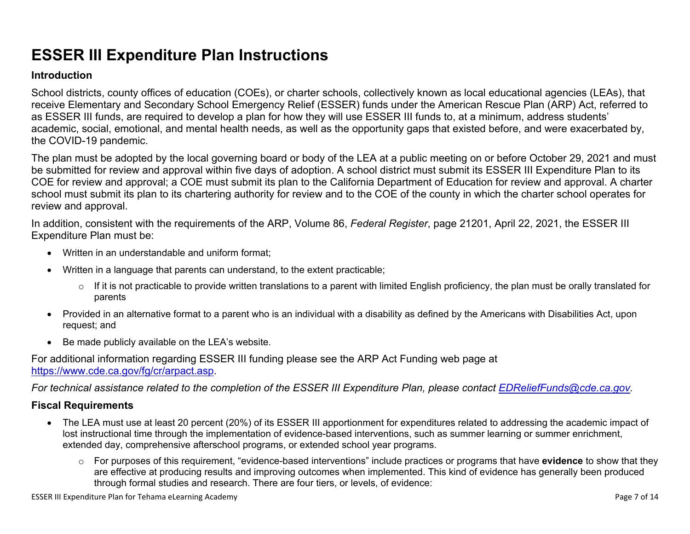# **ESSER III Expenditure Plan Instructions**

### **Introduction**

School districts, county offices of education (COEs), or charter schools, collectively known as local educational agencies (LEAs), that receive Elementary and Secondary School Emergency Relief (ESSER) funds under the American Rescue Plan (ARP) Act, referred to as ESSER III funds, are required to develop a plan for how they will use ESSER III funds to, at a minimum, address students' academic, social, emotional, and mental health needs, as well as the opportunity gaps that existed before, and were exacerbated by, the COVID-19 pandemic.

The plan must be adopted by the local governing board or body of the LEA at a public meeting on or before October 29, 2021 and must be submitted for review and approval within five days of adoption. A school district must submit its ESSER III Expenditure Plan to its COE for review and approval; a COE must submit its plan to the California Department of Education for review and approval. A charter school must submit its plan to its chartering authority for review and to the COE of the county in which the charter school operates for review and approval.

In addition, consistent with the requirements of the ARP, Volume 86, *Federal Register*, page 21201, April 22, 2021, the ESSER III Expenditure Plan must be:

- Written in an understandable and uniform format;
- Written in a language that parents can understand, to the extent practicable;
	- $\circ$  If it is not practicable to provide written translations to a parent with limited English proficiency, the plan must be orally translated for parents
- Provided in an alternative format to a parent who is an individual with a disability as defined by the Americans with Disabilities Act, upon request; and
- Be made publicly available on the LEA's website.

For additional information regarding ESSER III funding please see the ARP Act Funding web page at <https://www.cde.ca.gov/fg/cr/arpact.asp>.

For technical assistance related to the completion of the ESSER III Expenditure Plan, please contact [EDReliefFunds@cde.ca.gov](mailto:EDReliefFunds@cde.ca.gov).

## **Fiscal Requirements**

- The LEA must use at least 20 percent (20%) of its ESSER III apportionment for expenditures related to addressing the academic impact of lost instructional time through the implementation of evidence-based interventions, such as summer learning or summer enrichment, extended day, comprehensive afterschool programs, or extended school year programs.
	- o For purposes of this requirement, "evidence-based interventions" include practices or programs that have **evidence** to show that they are effective at producing results and improving outcomes when implemented. This kind of evidence has generally been produced through formal studies and research. There are four tiers, or levels, of evidence: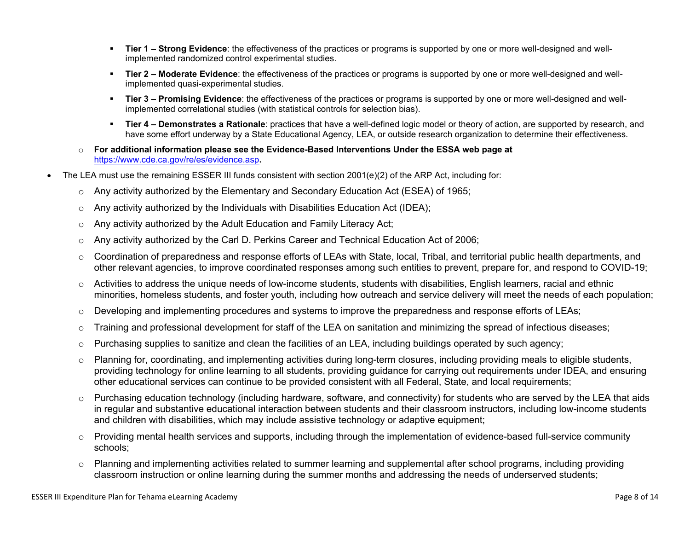- **Tier 1 – Strong Evidence**: the effectiveness of the practices or programs is supported by one or more well-designed and wellimplemented randomized control experimental studies.
- **Tier 2 – Moderate Evidence**: the effectiveness of the practices or programs is supported by one or more well-designed and wellimplemented quasi-experimental studies.
- **Tier 3 – Promising Evidence**: the effectiveness of the practices or programs is supported by one or more well-designed and wellimplemented correlational studies (with statistical controls for selection bias).
- **Tier 4 – Demonstrates a Rationale**: practices that have a well-defined logic model or theory of action, are supported by research, and have some effort underway by a State Educational Agency, LEA, or outside research organization to determine their effectiveness.
- o **For additional information please see the Evidence-Based Interventions Under the ESSA web page at** <https://www.cde.ca.gov/re/es/evidence.asp>**.**
- The LEA must use the remaining ESSER III funds consistent with section 2001(e)(2) of the ARP Act, including for:
	- $\circ$  Any activity authorized by the Elementary and Secondary Education Act (ESEA) of 1965;
	- $\circ$  Any activity authorized by the Individuals with Disabilities Education Act (IDEA);
	- o Any activity authorized by the Adult Education and Family Literacy Act;
	- $\circ$  Any activity authorized by the Carl D. Perkins Career and Technical Education Act of 2006;
	- $\circ$  Coordination of preparedness and response efforts of LEAs with State, local, Tribal, and territorial public health departments, and other relevant agencies, to improve coordinated responses among such entities to prevent, prepare for, and respond to COVID-19;
	- $\circ$  Activities to address the unique needs of low-income students, students with disabilities, English learners, racial and ethnic minorities, homeless students, and foster youth, including how outreach and service delivery will meet the needs of each population;
	- o Developing and implementing procedures and systems to improve the preparedness and response efforts of LEAs;
	- $\circ$  Training and professional development for staff of the LEA on sanitation and minimizing the spread of infectious diseases;
	- $\circ$  Purchasing supplies to sanitize and clean the facilities of an LEA, including buildings operated by such agency;
	- $\circ$  Planning for, coordinating, and implementing activities during long-term closures, including providing meals to eligible students, providing technology for online learning to all students, providing guidance for carrying out requirements under IDEA, and ensuring other educational services can continue to be provided consistent with all Federal, State, and local requirements;
	- $\circ$  Purchasing education technology (including hardware, software, and connectivity) for students who are served by the LEA that aids in regular and substantive educational interaction between students and their classroom instructors, including low-income students and children with disabilities, which may include assistive technology or adaptive equipment;
	- o Providing mental health services and supports, including through the implementation of evidence-based full-service community schools;
	- o Planning and implementing activities related to summer learning and supplemental after school programs, including providing classroom instruction or online learning during the summer months and addressing the needs of underserved students;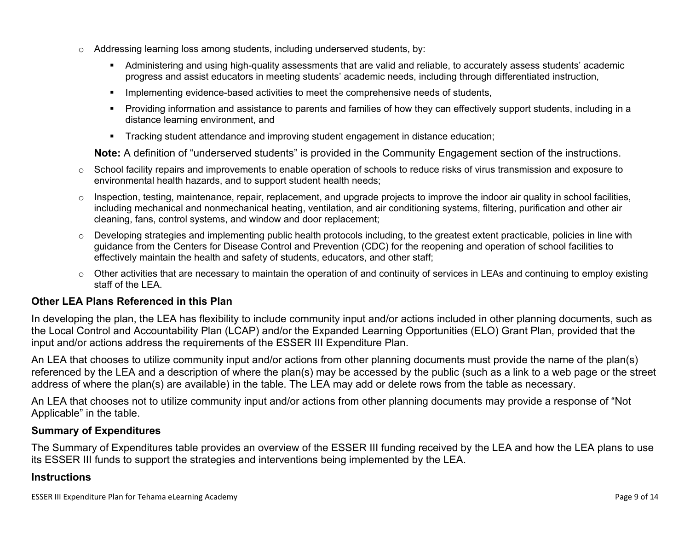- $\circ$  Addressing learning loss among students, including underserved students, by:
	- Administering and using high-quality assessments that are valid and reliable, to accurately assess students' academic progress and assist educators in meeting students' academic needs, including through differentiated instruction,
	- **IMPLEMENTER IMPLEMENT EVALUATE:** Implementing evidence-based activities to meet the comprehensive needs of students,
	- Providing information and assistance to parents and families of how they can effectively support students, including in a distance learning environment, and
	- Tracking student attendance and improving student engagement in distance education;

**Note:** A definition of "underserved students" is provided in the Community Engagement section of the instructions.

- $\circ$  School facility repairs and improvements to enable operation of schools to reduce risks of virus transmission and exposure to environmental health hazards, and to support student health needs;
- $\circ$  Inspection, testing, maintenance, repair, replacement, and upgrade projects to improve the indoor air quality in school facilities, including mechanical and nonmechanical heating, ventilation, and air conditioning systems, filtering, purification and other air cleaning, fans, control systems, and window and door replacement;
- $\circ$  Developing strategies and implementing public health protocols including, to the greatest extent practicable, policies in line with guidance from the Centers for Disease Control and Prevention (CDC) for the reopening and operation of school facilities to effectively maintain the health and safety of students, educators, and other staff;
- $\circ$  Other activities that are necessary to maintain the operation of and continuity of services in LEAs and continuing to employ existing staff of the LEA.

## <span id="page-8-0"></span>**Other LEA Plans Referenced in this Plan**

In developing the plan, the LEA has flexibility to include community input and/or actions included in other planning documents, such as the Local Control and Accountability Plan (LCAP) and/or the Expanded Learning Opportunities (ELO) Grant Plan, provided that the input and/or actions address the requirements of the ESSER III Expenditure Plan.

An LEA that chooses to utilize community input and/or actions from other planning documents must provide the name of the plan(s) referenced by the LEA and a description of where the plan(s) may be accessed by the public (such as a link to a web page or the street address of where the plan(s) are available) in the table. The LEA may add or delete rows from the table as necessary.

An LEA that chooses not to utilize community input and/or actions from other planning documents may provide a response of "Not Applicable" in the table.

#### <span id="page-8-1"></span>**Summary of Expenditures**

The Summary of Expenditures table provides an overview of the ESSER III funding received by the LEA and how the LEA plans to use its ESSER III funds to support the strategies and interventions being implemented by the LEA.

#### **Instructions**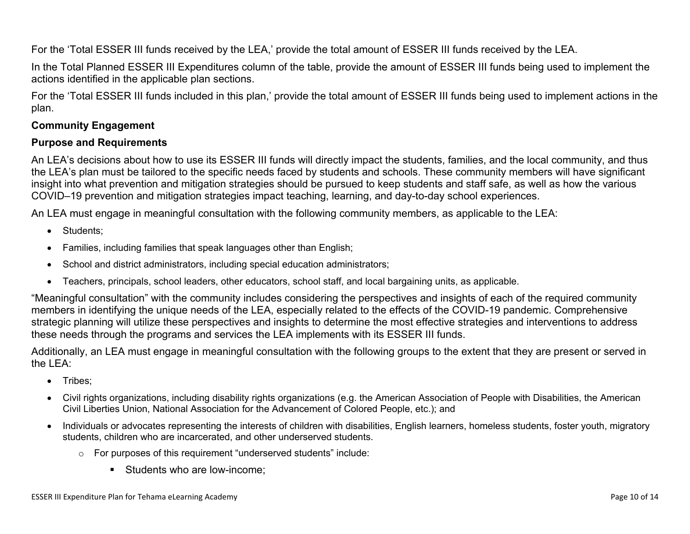For the 'Total ESSER III funds received by the LEA,' provide the total amount of ESSER III funds received by the LEA.

In the Total Planned ESSER III Expenditures column of the table, provide the amount of ESSER III funds being used to implement the actions identified in the applicable plan sections.

For the 'Total ESSER III funds included in this plan,' provide the total amount of ESSER III funds being used to implement actions in the plan.

## <span id="page-9-0"></span>**Community Engagement**

#### **Purpose and Requirements**

An LEA's decisions about how to use its ESSER III funds will directly impact the students, families, and the local community, and thus the LEA's plan must be tailored to the specific needs faced by students and schools. These community members will have significant insight into what prevention and mitigation strategies should be pursued to keep students and staff safe, as well as how the various COVID–19 prevention and mitigation strategies impact teaching, learning, and day-to-day school experiences.

An LEA must engage in meaningful consultation with the following community members, as applicable to the LEA:

- Students:
- Families, including families that speak languages other than English;
- School and district administrators, including special education administrators;
- Teachers, principals, school leaders, other educators, school staff, and local bargaining units, as applicable.

"Meaningful consultation" with the community includes considering the perspectives and insights of each of the required community members in identifying the unique needs of the LEA, especially related to the effects of the COVID-19 pandemic. Comprehensive strategic planning will utilize these perspectives and insights to determine the most effective strategies and interventions to address these needs through the programs and services the LEA implements with its ESSER III funds.

Additionally, an LEA must engage in meaningful consultation with the following groups to the extent that they are present or served in the LEA:

- Tribes;
- Civil rights organizations, including disability rights organizations (e.g. the American Association of People with Disabilities, the American Civil Liberties Union, National Association for the Advancement of Colored People, etc.); and
- Individuals or advocates representing the interests of children with disabilities, English learners, homeless students, foster youth, migratory students, children who are incarcerated, and other underserved students.
	- o For purposes of this requirement "underserved students" include:
		- Students who are low-income: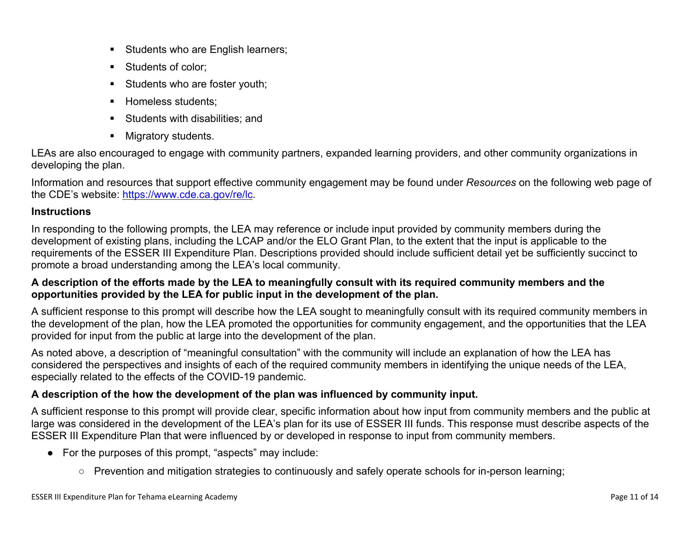- Students who are English learners;
- Students of color:
- Students who are foster youth;
- Homeless students;
- **Students with disabilities: and**
- **Migratory students.**

LEAs are also encouraged to engage with community partners, expanded learning providers, and other community organizations in developing the plan.

Information and resources that support effective community engagement may be found under *Resources* on the following web page of the CDE's website: <https://www.cde.ca.gov/re/lc>.

## **Instructions**

In responding to the following prompts, the LEA may reference or include input provided by community members during the development of existing plans, including the LCAP and/or the ELO Grant Plan, to the extent that the input is applicable to the requirements of the ESSER III Expenditure Plan. Descriptions provided should include sufficient detail yet be sufficiently succinct to promote a broad understanding among the LEA's local community.

## A description of the efforts made by the LEA to meaningfully consult with its required community members and the **opportunities provided by the LEA for public input in the development of the plan.**

A sufficient response to this prompt will describe how the LEA sought to meaningfully consult with its required community members in the development of the plan, how the LEA promoted the opportunities for community engagement, and the opportunities that the LEA provided for input from the public at large into the development of the plan.

As noted above, a description of "meaningful consultation" with the community will include an explanation of how the LEA has considered the perspectives and insights of each of the required community members in identifying the unique needs of the LEA, especially related to the effects of the COVID-19 pandemic.

# **A description of the how the development of the plan was influenced by community input.**

A sufficient response to this prompt will provide clear, specific information about how input from community members and the public at large was considered in the development of the LEA's plan for its use of ESSER III funds. This response must describe aspects of the ESSER III Expenditure Plan that were influenced by or developed in response to input from community members.

- For the purposes of this prompt, "aspects" may include:
	- Prevention and mitigation strategies to continuously and safely operate schools for in-person learning;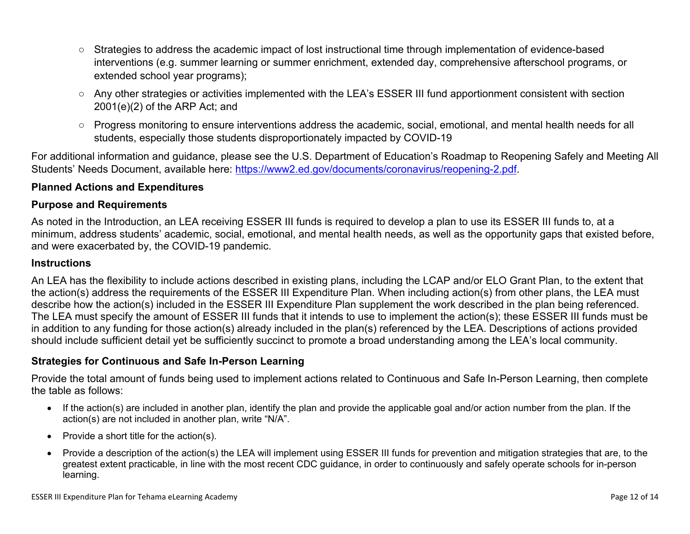- Strategies to address the academic impact of lost instructional time through implementation of evidence-based interventions (e.g. summer learning or summer enrichment, extended day, comprehensive afterschool programs, or extended school year programs);
- Any other strategies or activities implemented with the LEA's ESSER III fund apportionment consistent with section 2001(e)(2) of the ARP Act; and
- Progress monitoring to ensure interventions address the academic, social, emotional, and mental health needs for all students, especially those students disproportionately impacted by COVID-19

For additional information and guidance, please see the U.S. Department of Education's Roadmap to Reopening Safely and Meeting All Students' Needs Document, available here: [https://www2.ed.gov/documents/coronavirus/reopening-2.pdf.](https://www2.ed.gov/documents/coronavirus/reopening-2.pdf)

## <span id="page-11-0"></span>**Planned Actions and Expenditures**

#### **Purpose and Requirements**

As noted in the Introduction, an LEA receiving ESSER III funds is required to develop a plan to use its ESSER III funds to, at a minimum, address students' academic, social, emotional, and mental health needs, as well as the opportunity gaps that existed before, and were exacerbated by, the COVID-19 pandemic.

#### **Instructions**

An LEA has the flexibility to include actions described in existing plans, including the LCAP and/or ELO Grant Plan, to the extent that the action(s) address the requirements of the ESSER III Expenditure Plan. When including action(s) from other plans, the LEA must describe how the action(s) included in the ESSER III Expenditure Plan supplement the work described in the plan being referenced. The LEA must specify the amount of ESSER III funds that it intends to use to implement the action(s); these ESSER III funds must be in addition to any funding for those action(s) already included in the plan(s) referenced by the LEA. Descriptions of actions provided should include sufficient detail yet be sufficiently succinct to promote a broad understanding among the LEA's local community.

#### <span id="page-11-1"></span>**Strategies for Continuous and Safe In-Person Learning**

Provide the total amount of funds being used to implement actions related to Continuous and Safe In-Person Learning, then complete the table as follows:

- If the action(s) are included in another plan, identify the plan and provide the applicable goal and/or action number from the plan. If the action(s) are not included in another plan, write "N/A".
- Provide a short title for the  $action(s)$ .
- Provide a description of the action(s) the LEA will implement using ESSER III funds for prevention and mitigation strategies that are, to the greatest extent practicable, in line with the most recent CDC guidance, in order to continuously and safely operate schools for in-person learning.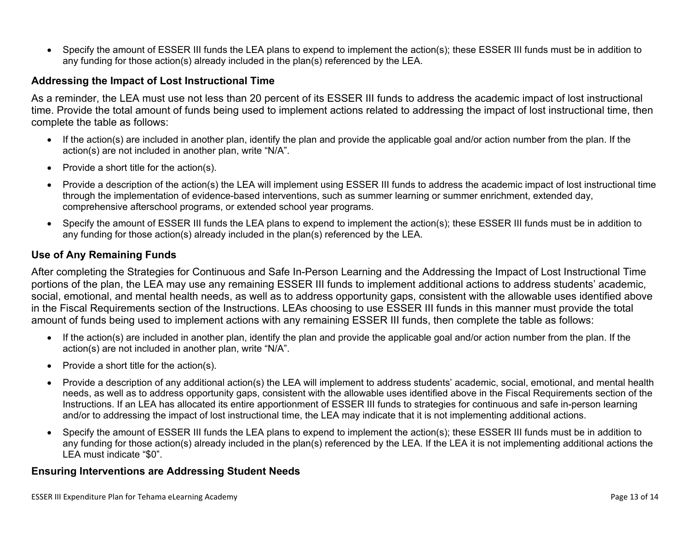Specify the amount of ESSER III funds the LEA plans to expend to implement the action(s); these ESSER III funds must be in addition to any funding for those action(s) already included in the plan(s) referenced by the LEA.

#### <span id="page-12-0"></span>**Addressing the Impact of Lost Instructional Time**

As a reminder, the LEA must use not less than 20 percent of its ESSER III funds to address the academic impact of lost instructional time. Provide the total amount of funds being used to implement actions related to addressing the impact of lost instructional time, then complete the table as follows:

- If the action(s) are included in another plan, identify the plan and provide the applicable goal and/or action number from the plan. If the action(s) are not included in another plan, write "N/A".
- Provide a short title for the  $action(s)$ .
- Provide a description of the action(s) the LEA will implement using ESSER III funds to address the academic impact of lost instructional time through the implementation of evidence-based interventions, such as summer learning or summer enrichment, extended day, comprehensive afterschool programs, or extended school year programs.
- Specify the amount of ESSER III funds the LEA plans to expend to implement the action(s); these ESSER III funds must be in addition to any funding for those action(s) already included in the plan(s) referenced by the LEA.

#### <span id="page-12-1"></span>**Use of Any Remaining Funds**

After completing the Strategies for Continuous and Safe In-Person Learning and the Addressing the Impact of Lost Instructional Time portions of the plan, the LEA may use any remaining ESSER III funds to implement additional actions to address students' academic, social, emotional, and mental health needs, as well as to address opportunity gaps, consistent with the allowable uses identified above in the Fiscal Requirements section of the Instructions. LEAs choosing to use ESSER III funds in this manner must provide the total amount of funds being used to implement actions with any remaining ESSER III funds, then complete the table as follows:

- If the action(s) are included in another plan, identify the plan and provide the applicable goal and/or action number from the plan. If the action(s) are not included in another plan, write "N/A".
- Provide a short title for the  $action(s)$ .
- Provide a description of any additional action(s) the LEA will implement to address students' academic, social, emotional, and mental health needs, as well as to address opportunity gaps, consistent with the allowable uses identified above in the Fiscal Requirements section of the Instructions. If an LEA has allocated its entire apportionment of ESSER III funds to strategies for continuous and safe in-person learning and/or to addressing the impact of lost instructional time, the LEA may indicate that it is not implementing additional actions.
- Specify the amount of ESSER III funds the LEA plans to expend to implement the action(s); these ESSER III funds must be in addition to any funding for those action(s) already included in the plan(s) referenced by the LEA. If the LEA it is not implementing additional actions the LEA must indicate "\$0".

#### <span id="page-12-2"></span>**Ensuring Interventions are Addressing Student Needs**